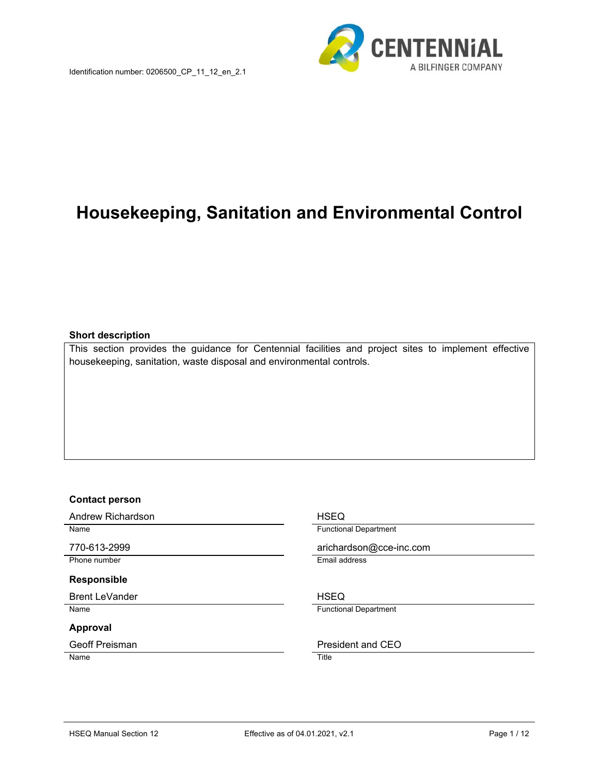

# **Housekeeping, Sanitation and Environmental Control**

#### **Short description**

This section provides the guidance for Centennial facilities and project sites to implement effective housekeeping, sanitation, waste disposal and environmental controls.

#### **Contact person**

Andrew Richardson **HSEQ** 

Phone number **Email address** 

# **Responsible**

Brent LeVander **HSEQ** 

#### **Approval**

Name Title

Name **Functional Department** 

770-613-2999 arichardson@cce-inc.com

Name **Functional Department** 

Geoff Preisman **President** and CEO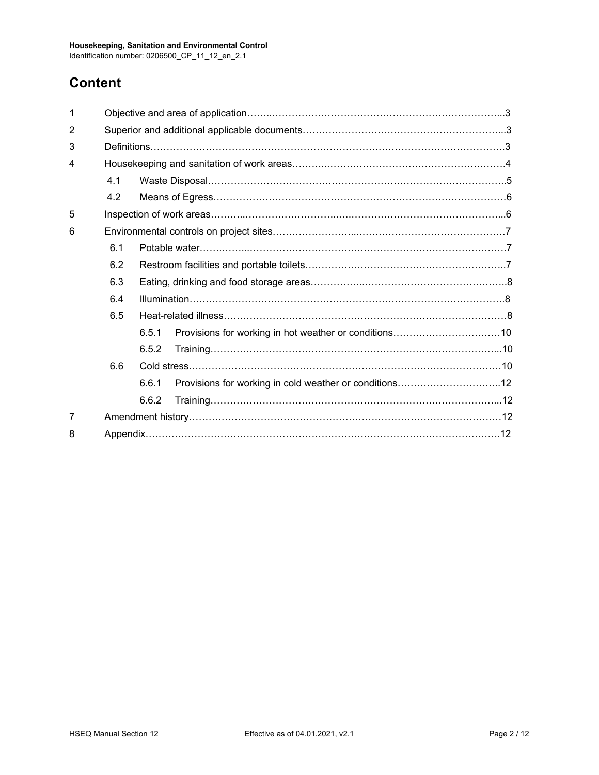# **Content**

| 1 |     |       |  |  |  |  |
|---|-----|-------|--|--|--|--|
| 2 |     |       |  |  |  |  |
| 3 |     |       |  |  |  |  |
| 4 |     |       |  |  |  |  |
|   | 4.1 |       |  |  |  |  |
|   | 4.2 |       |  |  |  |  |
| 5 |     |       |  |  |  |  |
| 6 |     |       |  |  |  |  |
|   | 6.1 |       |  |  |  |  |
|   | 6.2 |       |  |  |  |  |
|   | 6.3 |       |  |  |  |  |
|   | 6.4 |       |  |  |  |  |
|   | 6.5 |       |  |  |  |  |
|   |     | 6.5.1 |  |  |  |  |
|   |     | 6.5.2 |  |  |  |  |
|   | 6.6 |       |  |  |  |  |
|   |     | 6.6.1 |  |  |  |  |
|   |     | 6.6.2 |  |  |  |  |
| 7 |     |       |  |  |  |  |
| 8 |     |       |  |  |  |  |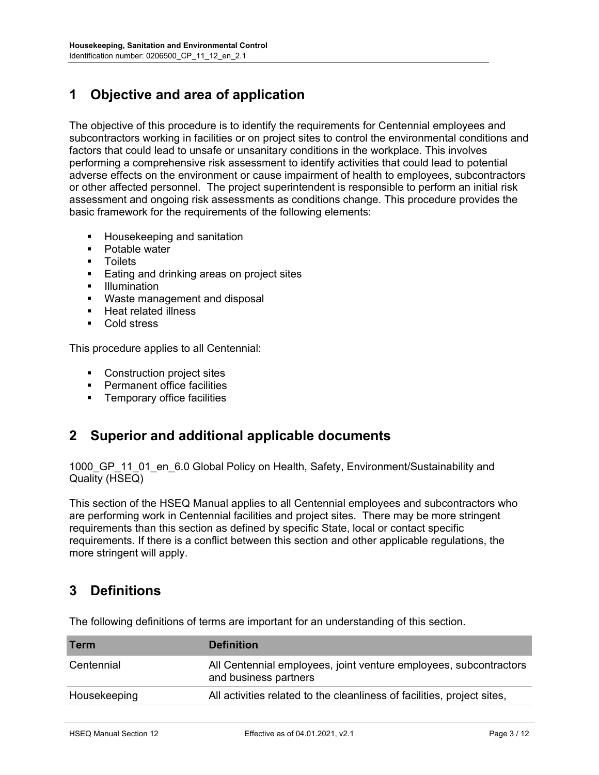# **1 Objective and area of application**

The objective of this procedure is to identify the requirements for Centennial employees and subcontractors working in facilities or on project sites to control the environmental conditions and factors that could lead to unsafe or unsanitary conditions in the workplace. This involves performing a comprehensive risk assessment to identify activities that could lead to potential adverse effects on the environment or cause impairment of health to employees, subcontractors or other affected personnel. The project superintendent is responsible to perform an initial risk assessment and ongoing risk assessments as conditions change. This procedure provides the basic framework for the requirements of the following elements:

- **Housekeeping and sanitation**
- Potable water
- Toilets
- **Eating and drinking areas on project sites**
- **Illumination**
- **Waste management and disposal**
- **Heat related illness**
- Cold stress

This procedure applies to all Centennial:

- Construction project sites
- Permanent office facilities
- **Temporary office facilities**

## **2 Superior and additional applicable documents**

1000\_GP\_11\_01\_en\_6.0 Global Policy on Health, Safety, Environment/Sustainability and Quality (HSEQ)

This section of the HSEQ Manual applies to all Centennial employees and subcontractors who are performing work in Centennial facilities and project sites. There may be more stringent requirements than this section as defined by specific State, local or contact specific requirements. If there is a conflict between this section and other applicable regulations, the more stringent will apply.

## **3 Definitions**

| <b>Term</b>  | <b>Definition</b>                                                                          |
|--------------|--------------------------------------------------------------------------------------------|
| Centennial   | All Centennial employees, joint venture employees, subcontractors<br>and business partners |
| Housekeeping | All activities related to the cleanliness of facilities, project sites,                    |

The following definitions of terms are important for an understanding of this section.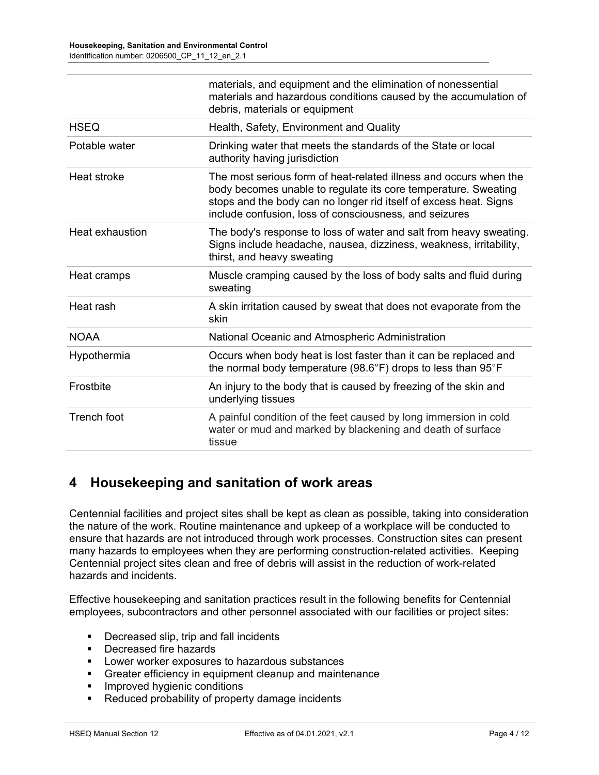|                    | materials, and equipment and the elimination of nonessential<br>materials and hazardous conditions caused by the accumulation of<br>debris, materials or equipment                                                                                                 |
|--------------------|--------------------------------------------------------------------------------------------------------------------------------------------------------------------------------------------------------------------------------------------------------------------|
| <b>HSEQ</b>        | Health, Safety, Environment and Quality                                                                                                                                                                                                                            |
| Potable water      | Drinking water that meets the standards of the State or local<br>authority having jurisdiction                                                                                                                                                                     |
| Heat stroke        | The most serious form of heat-related illness and occurs when the<br>body becomes unable to regulate its core temperature. Sweating<br>stops and the body can no longer rid itself of excess heat. Signs<br>include confusion, loss of consciousness, and seizures |
| Heat exhaustion    | The body's response to loss of water and salt from heavy sweating.<br>Signs include headache, nausea, dizziness, weakness, irritability,<br>thirst, and heavy sweating                                                                                             |
| Heat cramps        | Muscle cramping caused by the loss of body salts and fluid during<br>sweating                                                                                                                                                                                      |
| Heat rash          | A skin irritation caused by sweat that does not evaporate from the<br>skin                                                                                                                                                                                         |
| <b>NOAA</b>        | National Oceanic and Atmospheric Administration                                                                                                                                                                                                                    |
| Hypothermia        | Occurs when body heat is lost faster than it can be replaced and<br>the normal body temperature (98.6°F) drops to less than 95°F                                                                                                                                   |
| <b>Frostbite</b>   | An injury to the body that is caused by freezing of the skin and<br>underlying tissues                                                                                                                                                                             |
| <b>Trench foot</b> | A painful condition of the feet caused by long immersion in cold<br>water or mud and marked by blackening and death of surface<br>tissue                                                                                                                           |

# **4 Housekeeping and sanitation of work areas**

Centennial facilities and project sites shall be kept as clean as possible, taking into consideration the nature of the work. Routine maintenance and upkeep of a workplace will be conducted to ensure that hazards are not introduced through work processes. Construction sites can present many hazards to employees when they are performing construction-related activities. Keeping Centennial project sites clean and free of debris will assist in the reduction of work-related hazards and incidents.

Effective housekeeping and sanitation practices result in the following benefits for Centennial employees, subcontractors and other personnel associated with our facilities or project sites:

- Decreased slip, trip and fall incidents
- **Decreased fire hazards**
- **EXEC** Lower worker exposures to hazardous substances
- Greater efficiency in equipment cleanup and maintenance
- **Improved hygienic conditions**
- **Reduced probability of property damage incidents**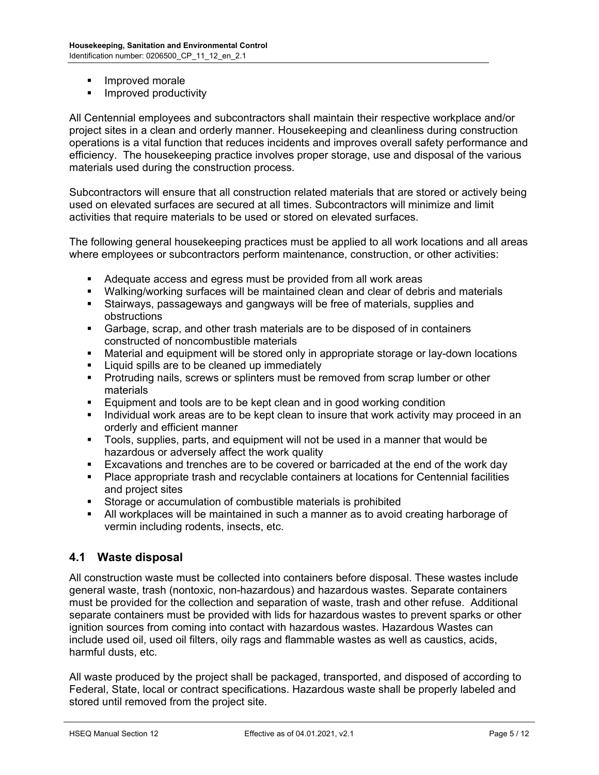- Improved morale
- **IMPROVED PRODUCTIVITY**

All Centennial employees and subcontractors shall maintain their respective workplace and/or project sites in a clean and orderly manner. Housekeeping and cleanliness during construction operations is a vital function that reduces incidents and improves overall safety performance and efficiency. The housekeeping practice involves proper storage, use and disposal of the various materials used during the construction process.

Subcontractors will ensure that all construction related materials that are stored or actively being used on elevated surfaces are secured at all times. Subcontractors will minimize and limit activities that require materials to be used or stored on elevated surfaces.

The following general housekeeping practices must be applied to all work locations and all areas where employees or subcontractors perform maintenance, construction, or other activities:

- Adequate access and egress must be provided from all work areas
- Walking/working surfaces will be maintained clean and clear of debris and materials
- Stairways, passageways and gangways will be free of materials, supplies and obstructions
- Garbage, scrap, and other trash materials are to be disposed of in containers constructed of noncombustible materials
- Material and equipment will be stored only in appropriate storage or lay-down locations
- **EXED Liquid spills are to be cleaned up immediately**
- Protruding nails, screws or splinters must be removed from scrap lumber or other materials
- **Equipment and tools are to be kept clean and in good working condition**
- Individual work areas are to be kept clean to insure that work activity may proceed in an orderly and efficient manner
- Tools, supplies, parts, and equipment will not be used in a manner that would be hazardous or adversely affect the work quality
- Excavations and trenches are to be covered or barricaded at the end of the work day
- Place appropriate trash and recyclable containers at locations for Centennial facilities and project sites
- Storage or accumulation of combustible materials is prohibited
- All workplaces will be maintained in such a manner as to avoid creating harborage of vermin including rodents, insects, etc.

## **4.1 Waste disposal**

All construction waste must be collected into containers before disposal. These wastes include general waste, trash (nontoxic, non-hazardous) and hazardous wastes. Separate containers must be provided for the collection and separation of waste, trash and other refuse. Additional separate containers must be provided with lids for hazardous wastes to prevent sparks or other ignition sources from coming into contact with hazardous wastes. Hazardous Wastes can include used oil, used oil filters, oily rags and flammable wastes as well as caustics, acids, harmful dusts, etc.

All waste produced by the project shall be packaged, transported, and disposed of according to Federal, State, local or contract specifications. Hazardous waste shall be properly labeled and stored until removed from the project site.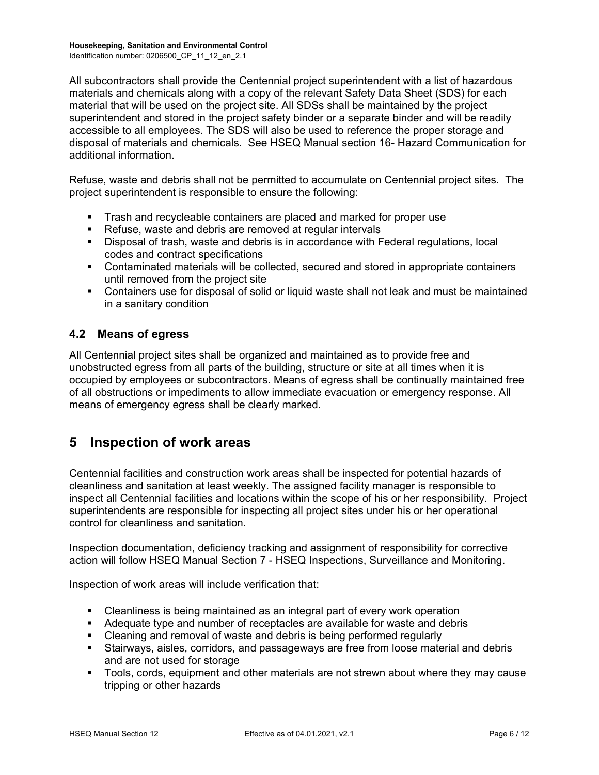All subcontractors shall provide the Centennial project superintendent with a list of hazardous materials and chemicals along with a copy of the relevant Safety Data Sheet (SDS) for each material that will be used on the project site. All SDSs shall be maintained by the project superintendent and stored in the project safety binder or a separate binder and will be readily accessible to all employees. The SDS will also be used to reference the proper storage and disposal of materials and chemicals. See HSEQ Manual section 16- Hazard Communication for additional information.

Refuse, waste and debris shall not be permitted to accumulate on Centennial project sites. The project superintendent is responsible to ensure the following:

- Trash and recycleable containers are placed and marked for proper use
- Refuse, waste and debris are removed at regular intervals
- Disposal of trash, waste and debris is in accordance with Federal regulations, local codes and contract specifications
- Contaminated materials will be collected, secured and stored in appropriate containers until removed from the project site
- Containers use for disposal of solid or liquid waste shall not leak and must be maintained in a sanitary condition

## **4.2 Means of egress**

All Centennial project sites shall be organized and maintained as to provide free and unobstructed egress from all parts of the building, structure or site at all times when it is occupied by employees or subcontractors. Means of egress shall be continually maintained free of all obstructions or impediments to allow immediate evacuation or emergency response. All means of emergency egress shall be clearly marked.

## **5 Inspection of work areas**

Centennial facilities and construction work areas shall be inspected for potential hazards of cleanliness and sanitation at least weekly. The assigned facility manager is responsible to inspect all Centennial facilities and locations within the scope of his or her responsibility. Project superintendents are responsible for inspecting all project sites under his or her operational control for cleanliness and sanitation.

Inspection documentation, deficiency tracking and assignment of responsibility for corrective action will follow HSEQ Manual Section 7 - HSEQ Inspections, Surveillance and Monitoring.

Inspection of work areas will include verification that:

- Cleanliness is being maintained as an integral part of every work operation
- Adequate type and number of receptacles are available for waste and debris
- Cleaning and removal of waste and debris is being performed regularly
- Stairways, aisles, corridors, and passageways are free from loose material and debris and are not used for storage
- **Tools, cords, equipment and other materials are not strewn about where they may cause** tripping or other hazards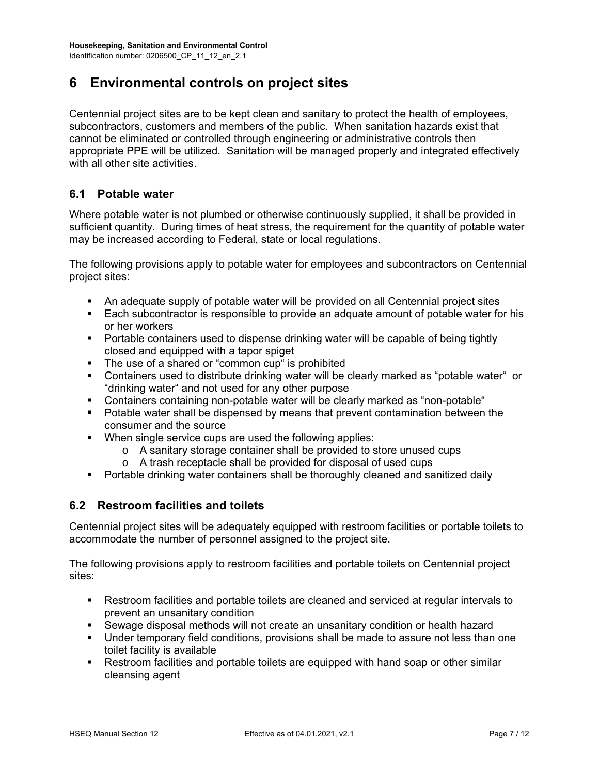# **6 Environmental controls on project sites**

Centennial project sites are to be kept clean and sanitary to protect the health of employees, subcontractors, customers and members of the public. When sanitation hazards exist that cannot be eliminated or controlled through engineering or administrative controls then appropriate PPE will be utilized. Sanitation will be managed properly and integrated effectively with all other site activities.

## **6.1 Potable water**

Where potable water is not plumbed or otherwise continuously supplied, it shall be provided in sufficient quantity. During times of heat stress, the requirement for the quantity of potable water may be increased according to Federal, state or local regulations.

The following provisions apply to potable water for employees and subcontractors on Centennial project sites:

- An adequate supply of potable water will be provided on all Centennial project sites
- Each subcontractor is responsible to provide an adquate amount of potable water for his or her workers
- Portable containers used to dispense drinking water will be capable of being tightly closed and equipped with a tapor spiget
- The use of a shared or "common cup" is prohibited
- Containers used to distribute drinking water will be clearly marked as "potable water" or "drinking water" and not used for any other purpose
- Containers containing non-potable water will be clearly marked as "non-potable"
- Potable water shall be dispensed by means that prevent contamination between the consumer and the source
- When single service cups are used the following applies:
	- o A sanitary storage container shall be provided to store unused cups
	- o A trash receptacle shall be provided for disposal of used cups
- Portable drinking water containers shall be thoroughly cleaned and sanitized daily

## **6.2 Restroom facilities and toilets**

Centennial project sites will be adequately equipped with restroom facilities or portable toilets to accommodate the number of personnel assigned to the project site.

The following provisions apply to restroom facilities and portable toilets on Centennial project sites:

- Restroom facilities and portable toilets are cleaned and serviced at regular intervals to prevent an unsanitary condition
- Sewage disposal methods will not create an unsanitary condition or health hazard
- Under temporary field conditions, provisions shall be made to assure not less than one toilet facility is available
- Restroom facilities and portable toilets are equipped with hand soap or other similar cleansing agent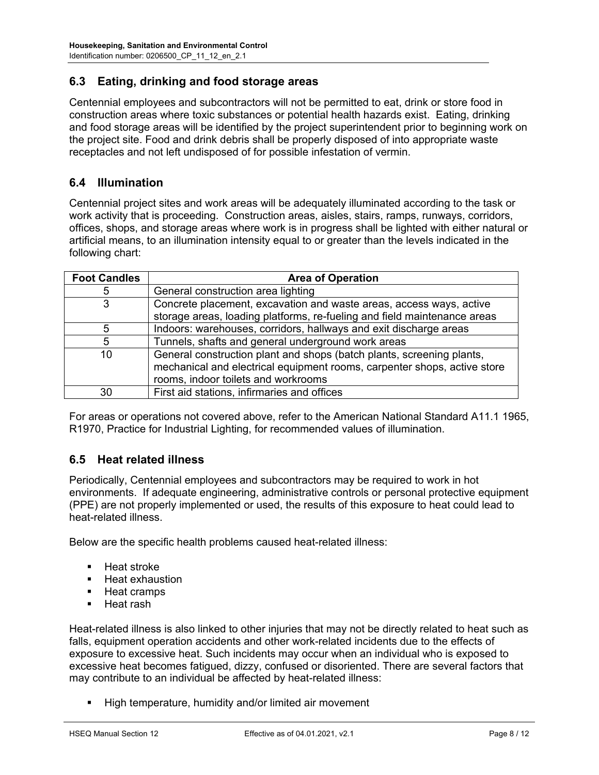#### **6.3 Eating, drinking and food storage areas**

Centennial employees and subcontractors will not be permitted to eat, drink or store food in construction areas where toxic substances or potential health hazards exist. Eating, drinking and food storage areas will be identified by the project superintendent prior to beginning work on the project site. Food and drink debris shall be properly disposed of into appropriate waste receptacles and not left undisposed of for possible infestation of vermin.

#### **6.4 Illumination**

Centennial project sites and work areas will be adequately illuminated according to the task or work activity that is proceeding. Construction areas, aisles, stairs, ramps, runways, corridors, offices, shops, and storage areas where work is in progress shall be lighted with either natural or artificial means, to an illumination intensity equal to or greater than the levels indicated in the following chart:

| <b>Foot Candles</b> | <b>Area of Operation</b>                                                                                                                                                                 |
|---------------------|------------------------------------------------------------------------------------------------------------------------------------------------------------------------------------------|
| 5                   | General construction area lighting                                                                                                                                                       |
| 3                   | Concrete placement, excavation and waste areas, access ways, active                                                                                                                      |
|                     | storage areas, loading platforms, re-fueling and field maintenance areas                                                                                                                 |
| 5                   | Indoors: warehouses, corridors, hallways and exit discharge areas                                                                                                                        |
| 5                   | Tunnels, shafts and general underground work areas                                                                                                                                       |
| 10                  | General construction plant and shops (batch plants, screening plants,<br>mechanical and electrical equipment rooms, carpenter shops, active store<br>rooms, indoor toilets and workrooms |
| 30                  | First aid stations, infirmaries and offices                                                                                                                                              |

For areas or operations not covered above, refer to the American National Standard A11.1 1965, R1970, Practice for Industrial Lighting, for recommended values of illumination.

## **6.5 Heat related illness**

Periodically, Centennial employees and subcontractors may be required to work in hot environments. If adequate engineering, administrative controls or personal protective equipment (PPE) are not properly implemented or used, the results of this exposure to heat could lead to heat-related illness.

Below are the specific health problems caused heat-related illness:

- **Heat stroke**
- Heat exhaustion
- **Heat cramps**
- Heat rash

Heat-related illness is also linked to other injuries that may not be directly related to heat such as falls, equipment operation accidents and other work-related incidents due to the effects of exposure to excessive heat. Such incidents may occur when an individual who is exposed to excessive heat becomes fatigued, dizzy, confused or disoriented. There are several factors that may contribute to an individual be affected by heat-related illness:

High temperature, humidity and/or limited air movement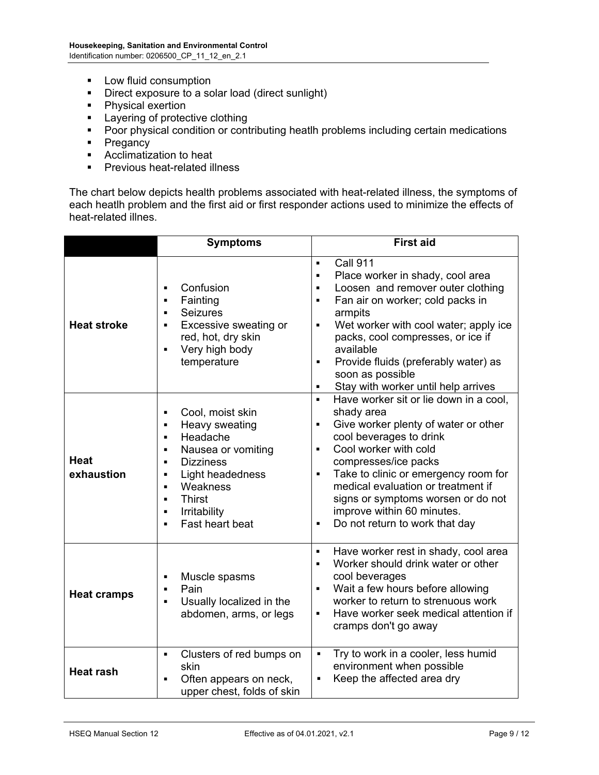- **Low fluid consumption**
- Direct exposure to a solar load (direct sunlight)
- Physical exertion
- **EXEC** Layering of protective clothing
- **Poor physical condition or contributing heatlh problems including certain medications**
- Pregancy
- Acclimatization to heat<br>Previous heat-related ill
- Previous heat-related illness

The chart below depicts health problems associated with heat-related illness, the symptoms of each heatlh problem and the first aid or first responder actions used to minimize the effects of heat-related illnes.

|                           | <b>Symptoms</b>                                                                                                                                                                                                                                                                                                                                                  | <b>First aid</b>                                                                                                                                                                                                                                                                                                                                                                                                                           |
|---------------------------|------------------------------------------------------------------------------------------------------------------------------------------------------------------------------------------------------------------------------------------------------------------------------------------------------------------------------------------------------------------|--------------------------------------------------------------------------------------------------------------------------------------------------------------------------------------------------------------------------------------------------------------------------------------------------------------------------------------------------------------------------------------------------------------------------------------------|
| <b>Heat stroke</b>        | Confusion<br>$\blacksquare$<br>Fainting<br>$\blacksquare$<br><b>Seizures</b><br>$\blacksquare$<br>Excessive sweating or<br>$\blacksquare$<br>red, hot, dry skin<br>Very high body<br>$\blacksquare$<br>temperature                                                                                                                                               | <b>Call 911</b><br>$\blacksquare$<br>Place worker in shady, cool area<br>$\blacksquare$<br>Loosen and remover outer clothing<br>$\blacksquare$<br>Fan air on worker; cold packs in<br>$\blacksquare$<br>armpits<br>Wet worker with cool water; apply ice<br>$\blacksquare$<br>packs, cool compresses, or ice if<br>available<br>Provide fluids (preferably water) as<br>g,<br>soon as possible<br>Stay with worker until help arrives<br>٠ |
| <b>Heat</b><br>exhaustion | Cool, moist skin<br>$\blacksquare$<br>Heavy sweating<br>$\blacksquare$<br>Headache<br>$\blacksquare$<br>Nausea or vomiting<br>$\blacksquare$<br><b>Dizziness</b><br>$\blacksquare$<br>Light headedness<br>$\blacksquare$<br>Weakness<br>$\blacksquare$<br><b>Thirst</b><br>$\blacksquare$<br>Irritability<br>$\blacksquare$<br>Fast heart beat<br>$\blacksquare$ | Have worker sit or lie down in a cool,<br>$\blacksquare$<br>shady area<br>Give worker plenty of water or other<br>$\blacksquare$<br>cool beverages to drink<br>Cool worker with cold<br>$\blacksquare$<br>compresses/ice packs<br>Take to clinic or emergency room for<br>g,<br>medical evaluation or treatment if<br>signs or symptoms worsen or do not<br>improve within 60 minutes.<br>Do not return to work that day<br>g,             |
| <b>Heat cramps</b>        | Muscle spasms<br>П<br>Pain<br>$\blacksquare$<br>Usually localized in the<br>$\blacksquare$<br>abdomen, arms, or legs                                                                                                                                                                                                                                             | Have worker rest in shady, cool area<br>$\blacksquare$<br>Worker should drink water or other<br>$\blacksquare$<br>cool beverages<br>Wait a few hours before allowing<br>$\blacksquare$<br>worker to return to strenuous work<br>Have worker seek medical attention if<br>$\blacksquare$<br>cramps don't go away                                                                                                                            |
| <b>Heat rash</b>          | Clusters of red bumps on<br>$\blacksquare$<br>skin<br>Often appears on neck,<br>Ξ<br>upper chest, folds of skin                                                                                                                                                                                                                                                  | Try to work in a cooler, less humid<br>$\blacksquare$<br>environment when possible<br>Keep the affected area dry<br>$\blacksquare$                                                                                                                                                                                                                                                                                                         |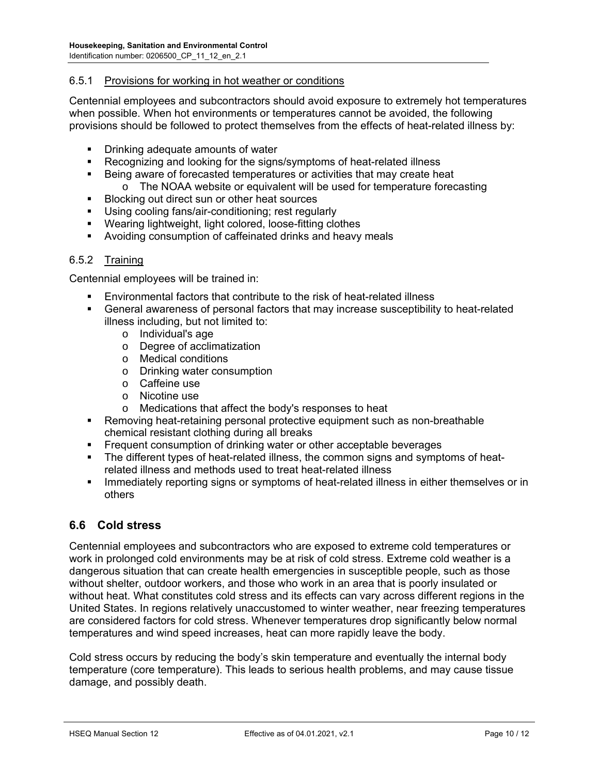#### 6.5.1 Provisions for working in hot weather or conditions

Centennial employees and subcontractors should avoid exposure to extremely hot temperatures when possible. When hot environments or temperatures cannot be avoided, the following provisions should be followed to protect themselves from the effects of heat-related illness by:

- Drinking adequate amounts of water
- **Recognizing and looking for the signs/symptoms of heat-related illness** 
	- Being aware of forecasted temperatures or activities that may create heat
		- o The NOAA website or equivalent will be used for temperature forecasting
- Blocking out direct sun or other heat sources
- Using cooling fans/air-conditioning; rest regularly
- Wearing lightweight, light colored, loose-fitting clothes
- Avoiding consumption of caffeinated drinks and heavy meals

#### 6.5.2 Training

Centennial employees will be trained in:

- Environmental factors that contribute to the risk of heat-related illness
- General awareness of personal factors that may increase susceptibility to heat-related illness including, but not limited to:
	- o Individual's age
	- o Degree of acclimatization
	- o Medical conditions
	- o Drinking water consumption
	- o Caffeine use
	- o Nicotine use
	- o Medications that affect the body's responses to heat
- Removing heat-retaining personal protective equipment such as non-breathable chemical resistant clothing during all breaks
- **Figurent consumption of drinking water or other acceptable beverages**
- The different types of heat-related illness, the common signs and symptoms of heatrelated illness and methods used to treat heat-related illness
- **IMMED 19 Immediately reporting signs or symptoms of heat-related illness in either themselves or in** others

#### **6.6 Cold stress**

Centennial employees and subcontractors who are exposed to extreme cold temperatures or work in prolonged cold environments may be at risk of cold stress. Extreme cold weather is a dangerous situation that can create health emergencies in susceptible people, such as those without shelter, outdoor workers, and those who work in an area that is poorly insulated or without heat. What constitutes cold stress and its effects can vary across different regions in the United States. In regions relatively unaccustomed to winter weather, near freezing temperatures are considered factors for cold stress. Whenever temperatures drop significantly below normal temperatures and wind speed increases, heat can more rapidly leave the body.

Cold stress occurs by reducing the body's skin temperature and eventually the internal body temperature (core temperature). This leads to serious health problems, and may cause tissue damage, and possibly death.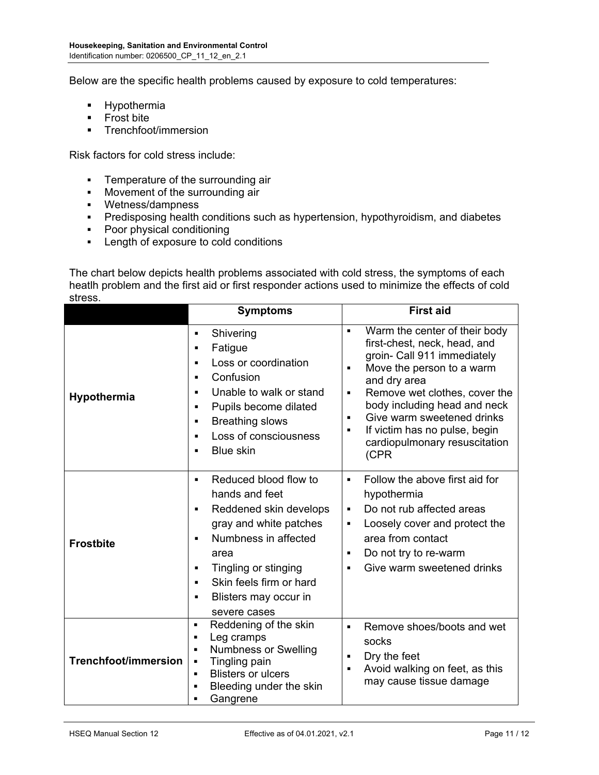Below are the specific health problems caused by exposure to cold temperatures:

- **-** Hypothermia
- **Frost bite**
- **F** Trenchfoot/immersion

Risk factors for cold stress include:

- **Temperature of the surrounding air**
- **Movement of the surrounding air**
- Wetness/dampness
- **Predisposing health conditions such as hypertension, hypothyroidism, and diabetes**
- Poor physical conditioning
- **Length of exposure to cold conditions**

The chart below depicts health problems associated with cold stress, the symptoms of each heatlh problem and the first aid or first responder actions used to minimize the effects of cold stress.

|                             | <b>Symptoms</b>                                                                                                                                                                                                                                                                                                        | <b>First aid</b>                                                                                                                                                                                                                                                                                                                                                                                             |
|-----------------------------|------------------------------------------------------------------------------------------------------------------------------------------------------------------------------------------------------------------------------------------------------------------------------------------------------------------------|--------------------------------------------------------------------------------------------------------------------------------------------------------------------------------------------------------------------------------------------------------------------------------------------------------------------------------------------------------------------------------------------------------------|
| Hypothermia                 | Shivering<br>$\blacksquare$<br>Fatigue<br>п<br>Loss or coordination<br>П<br>Confusion<br>п<br>Unable to walk or stand<br>Pupils become dilated<br>$\blacksquare$<br><b>Breathing slows</b><br>٠<br>Loss of consciousness<br><b>Blue skin</b><br>$\blacksquare$                                                         | Warm the center of their body<br>$\blacksquare$<br>first-chest, neck, head, and<br>groin- Call 911 immediately<br>Move the person to a warm<br>$\blacksquare$<br>and dry area<br>Remove wet clothes, cover the<br>$\blacksquare$<br>body including head and neck<br>Give warm sweetened drinks<br>$\blacksquare$<br>If victim has no pulse, begin<br>$\blacksquare$<br>cardiopulmonary resuscitation<br>(CPR |
| <b>Frostbite</b>            | Reduced blood flow to<br>$\blacksquare$<br>hands and feet<br>Reddened skin develops<br>$\blacksquare$<br>gray and white patches<br>Numbness in affected<br>$\blacksquare$<br>area<br>Tingling or stinging<br>$\blacksquare$<br>Skin feels firm or hard<br>$\blacksquare$<br>Blisters may occur in<br>٠<br>severe cases | Follow the above first aid for<br>$\blacksquare$<br>hypothermia<br>Do not rub affected areas<br>$\blacksquare$<br>Loosely cover and protect the<br>$\blacksquare$<br>area from contact<br>Do not try to re-warm<br>$\blacksquare$<br>Give warm sweetened drinks<br>$\blacksquare$                                                                                                                            |
| <b>Trenchfoot/immersion</b> | Reddening of the skin<br>$\blacksquare$<br>Leg cramps<br>٠<br><b>Numbness or Swelling</b><br>$\blacksquare$<br>Tingling pain<br>П<br><b>Blisters or ulcers</b><br>п<br>Bleeding under the skin<br>Gangrene                                                                                                             | Remove shoes/boots and wet<br>$\blacksquare$<br>socks<br>Dry the feet<br>$\blacksquare$<br>Avoid walking on feet, as this<br>٠<br>may cause tissue damage                                                                                                                                                                                                                                                    |